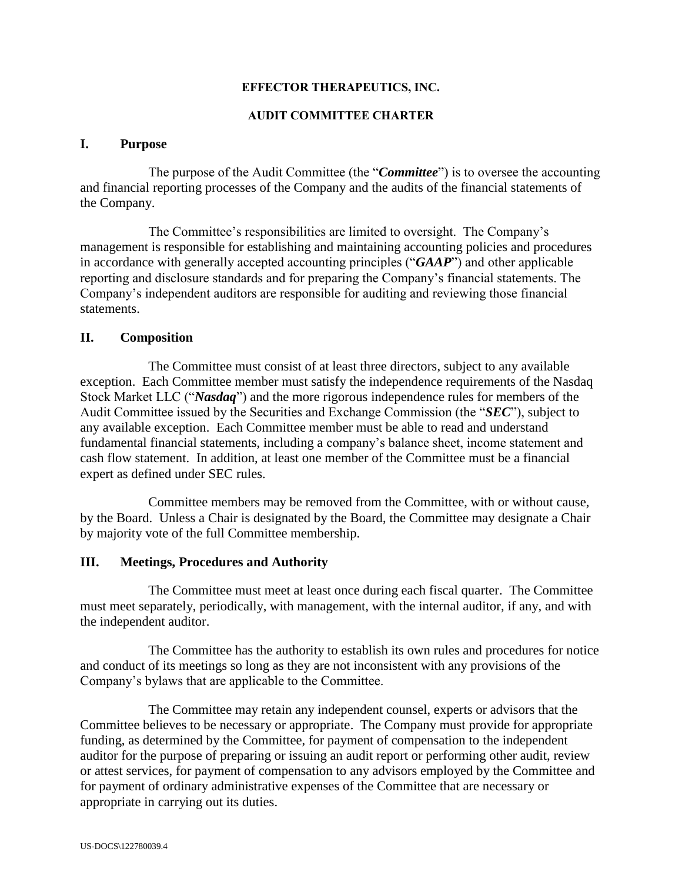#### **EFFECTOR THERAPEUTICS, INC.**

#### **AUDIT COMMITTEE CHARTER**

#### **I. Purpose**

The purpose of the Audit Committee (the "*Committee*") is to oversee the accounting and financial reporting processes of the Company and the audits of the financial statements of the Company.

The Committee's responsibilities are limited to oversight. The Company's management is responsible for establishing and maintaining accounting policies and procedures in accordance with generally accepted accounting principles ("*GAAP*") and other applicable reporting and disclosure standards and for preparing the Company's financial statements. The Company's independent auditors are responsible for auditing and reviewing those financial statements.

### **II. Composition**

The Committee must consist of at least three directors, subject to any available exception. Each Committee member must satisfy the independence requirements of the Nasdaq Stock Market LLC ("*Nasdaq*") and the more rigorous independence rules for members of the Audit Committee issued by the Securities and Exchange Commission (the "*SEC*"), subject to any available exception. Each Committee member must be able to read and understand fundamental financial statements, including a company's balance sheet, income statement and cash flow statement. In addition, at least one member of the Committee must be a financial expert as defined under SEC rules.

Committee members may be removed from the Committee, with or without cause, by the Board. Unless a Chair is designated by the Board, the Committee may designate a Chair by majority vote of the full Committee membership.

#### **III. Meetings, Procedures and Authority**

The Committee must meet at least once during each fiscal quarter. The Committee must meet separately, periodically, with management, with the internal auditor, if any, and with the independent auditor.

The Committee has the authority to establish its own rules and procedures for notice and conduct of its meetings so long as they are not inconsistent with any provisions of the Company's bylaws that are applicable to the Committee.

The Committee may retain any independent counsel, experts or advisors that the Committee believes to be necessary or appropriate. The Company must provide for appropriate funding, as determined by the Committee, for payment of compensation to the independent auditor for the purpose of preparing or issuing an audit report or performing other audit, review or attest services, for payment of compensation to any advisors employed by the Committee and for payment of ordinary administrative expenses of the Committee that are necessary or appropriate in carrying out its duties.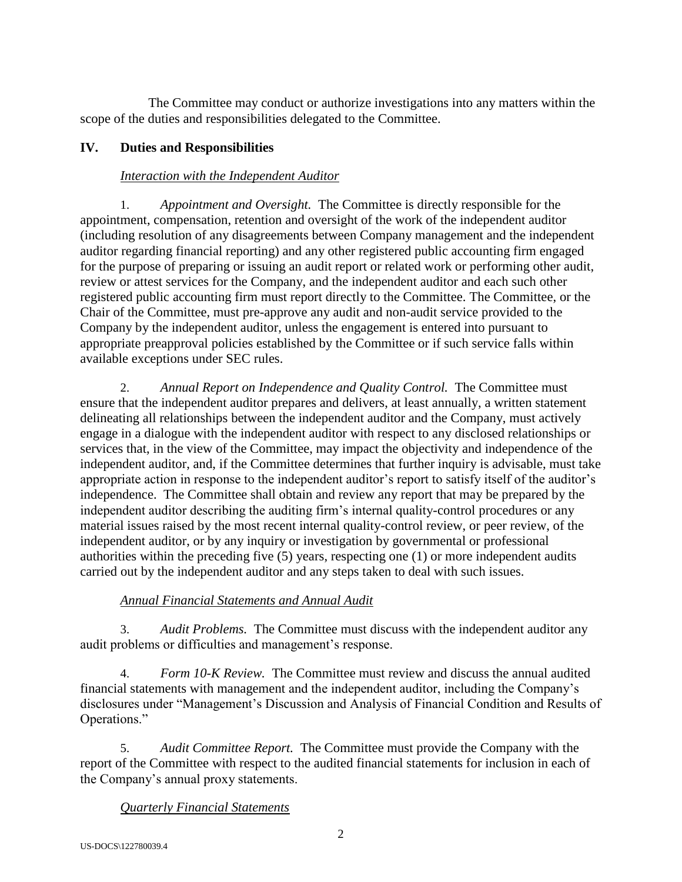The Committee may conduct or authorize investigations into any matters within the scope of the duties and responsibilities delegated to the Committee.

## **IV. Duties and Responsibilities**

## *Interaction with the Independent Auditor*

1. *Appointment and Oversight.* The Committee is directly responsible for the appointment, compensation, retention and oversight of the work of the independent auditor (including resolution of any disagreements between Company management and the independent auditor regarding financial reporting) and any other registered public accounting firm engaged for the purpose of preparing or issuing an audit report or related work or performing other audit, review or attest services for the Company, and the independent auditor and each such other registered public accounting firm must report directly to the Committee. The Committee, or the Chair of the Committee, must pre-approve any audit and non-audit service provided to the Company by the independent auditor, unless the engagement is entered into pursuant to appropriate preapproval policies established by the Committee or if such service falls within available exceptions under SEC rules.

2. *Annual Report on Independence and Quality Control.* The Committee must ensure that the independent auditor prepares and delivers, at least annually, a written statement delineating all relationships between the independent auditor and the Company, must actively engage in a dialogue with the independent auditor with respect to any disclosed relationships or services that, in the view of the Committee, may impact the objectivity and independence of the independent auditor, and, if the Committee determines that further inquiry is advisable, must take appropriate action in response to the independent auditor's report to satisfy itself of the auditor's independence. The Committee shall obtain and review any report that may be prepared by the independent auditor describing the auditing firm's internal quality-control procedures or any material issues raised by the most recent internal quality-control review, or peer review, of the independent auditor, or by any inquiry or investigation by governmental or professional authorities within the preceding five (5) years, respecting one (1) or more independent audits carried out by the independent auditor and any steps taken to deal with such issues.

# *Annual Financial Statements and Annual Audit*

3. *Audit Problems.*The Committee must discuss with the independent auditor any audit problems or difficulties and management's response.

4. *Form 10-K Review.* The Committee must review and discuss the annual audited financial statements with management and the independent auditor, including the Company's disclosures under "Management's Discussion and Analysis of Financial Condition and Results of Operations."

5. *Audit Committee Report.* The Committee must provide the Company with the report of the Committee with respect to the audited financial statements for inclusion in each of the Company's annual proxy statements.

### *Quarterly Financial Statements*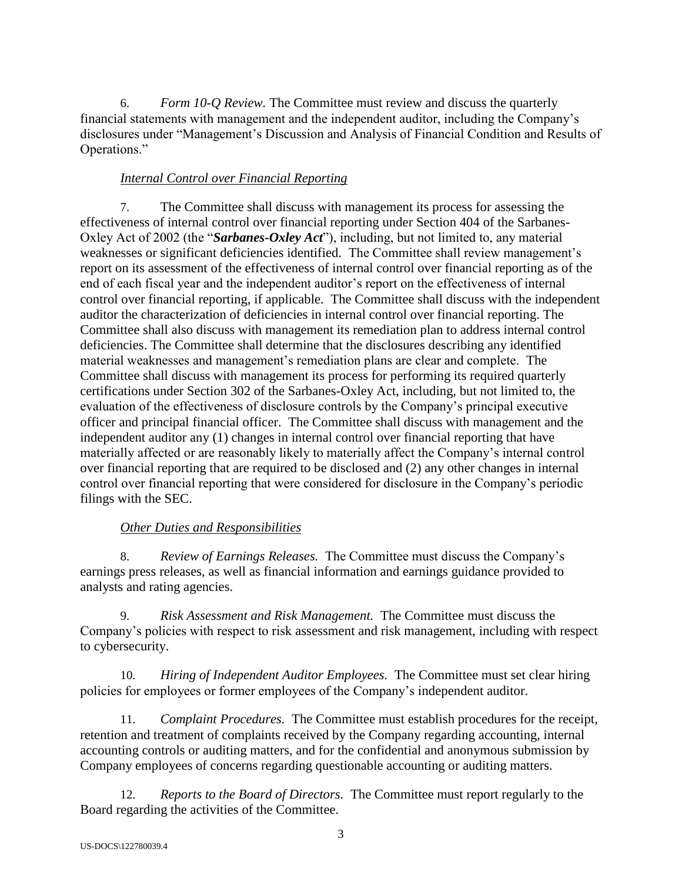6. *Form 10-Q Review.* The Committee must review and discuss the quarterly financial statements with management and the independent auditor, including the Company's disclosures under "Management's Discussion and Analysis of Financial Condition and Results of Operations."

### *Internal Control over Financial Reporting*

7. The Committee shall discuss with management its process for assessing the effectiveness of internal control over financial reporting under Section 404 of the Sarbanes-Oxley Act of 2002 (the "*Sarbanes-Oxley Act*"), including, but not limited to, any material weaknesses or significant deficiencies identified. The Committee shall review management's report on its assessment of the effectiveness of internal control over financial reporting as of the end of each fiscal year and the independent auditor's report on the effectiveness of internal control over financial reporting, if applicable. The Committee shall discuss with the independent auditor the characterization of deficiencies in internal control over financial reporting. The Committee shall also discuss with management its remediation plan to address internal control deficiencies. The Committee shall determine that the disclosures describing any identified material weaknesses and management's remediation plans are clear and complete. The Committee shall discuss with management its process for performing its required quarterly certifications under Section 302 of the Sarbanes-Oxley Act, including, but not limited to, the evaluation of the effectiveness of disclosure controls by the Company's principal executive officer and principal financial officer. The Committee shall discuss with management and the independent auditor any (1) changes in internal control over financial reporting that have materially affected or are reasonably likely to materially affect the Company's internal control over financial reporting that are required to be disclosed and (2) any other changes in internal control over financial reporting that were considered for disclosure in the Company's periodic filings with the SEC.

# *Other Duties and Responsibilities*

8. *Review of Earnings Releases.* The Committee must discuss the Company's earnings press releases, as well as financial information and earnings guidance provided to analysts and rating agencies.

9. *Risk Assessment and Risk Management.* The Committee must discuss the Company's policies with respect to risk assessment and risk management, including with respect to cybersecurity.

10. *Hiring of Independent Auditor Employees.* The Committee must set clear hiring policies for employees or former employees of the Company's independent auditor.

11. *Complaint Procedures.* The Committee must establish procedures for the receipt, retention and treatment of complaints received by the Company regarding accounting, internal accounting controls or auditing matters, and for the confidential and anonymous submission by Company employees of concerns regarding questionable accounting or auditing matters.

12. *Reports to the Board of Directors.* The Committee must report regularly to the Board regarding the activities of the Committee.